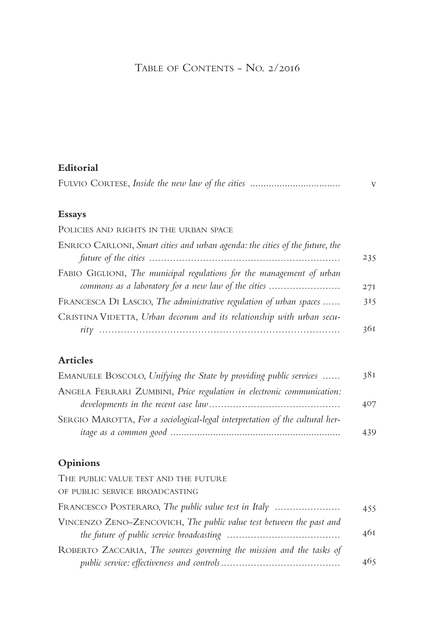# TABLE OF CONTENTS - NO. 2/2016

| Editorial |  |
|-----------|--|
|           |  |

## **Essays**

| POLICIES AND RIGHTS IN THE URBAN SPACE                                                                                       |     |
|------------------------------------------------------------------------------------------------------------------------------|-----|
| ENRICO CARLONI, Smart cities and urban agenda: the cities of the future, the                                                 | 235 |
| FABIO GIGLIONI, The municipal regulations for the management of urban<br>commons as a laboratory for a new law of the cities | 27I |
| FRANCESCA DI LASCIO, The administrative regulation of urban spaces                                                           | 315 |
| CRISTINA VIDETTA, Urban decorum and its relationship with urban secu-                                                        | 361 |
|                                                                                                                              |     |

## **Articles**

| EMANUELE BOSCOLO, Unifying the State by providing public services            | 38I |
|------------------------------------------------------------------------------|-----|
| ANGELA FERRARI ZUMBINI, Price regulation in electronic communication:        |     |
|                                                                              | 407 |
| SERGIO MAROTTA, For a sociological-legal interpretation of the cultural her- |     |
|                                                                              | 439 |

## **Opinions**

| THE PUBLIC VALUE TEST AND THE FUTURE                                 |     |
|----------------------------------------------------------------------|-----|
| OF PUBLIC SERVICE BROADCASTING                                       |     |
| FRANCESCO POSTERARO, The public value test in Italy                  | 455 |
| VINCENZO ZENO-ZENCOVICH, The public value test between the past and  | 461 |
| ROBERTO ZACCARIA, The sources governing the mission and the tasks of | 465 |